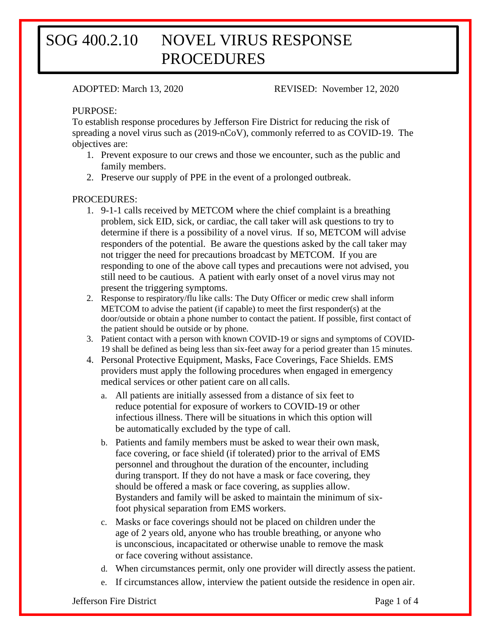# SOG 400.2.10 NOVEL VIRUS RESPONSE PROCEDURES

ADOPTED: March 13, 2020 REVISED: November 12, 2020

### PURPOSE:

To establish response procedures by Jefferson Fire District for reducing the risk of spreading a novel virus such as (2019-nCoV), commonly referred to as COVID-19. The objectives are:

- 1. Prevent exposure to our crews and those we encounter, such as the public and family members.
- 2. Preserve our supply of PPE in the event of a prolonged outbreak.

### PROCEDURES:

- 1. 9-1-1 calls received by METCOM where the chief complaint is a breathing problem, sick EID, sick, or cardiac, the call taker will ask questions to try to determine if there is a possibility of a novel virus. If so, METCOM will advise responders of the potential. Be aware the questions asked by the call taker may not trigger the need for precautions broadcast by METCOM. If you are responding to one of the above call types and precautions were not advised, you still need to be cautious. A patient with early onset of a novel virus may not present the triggering symptoms.
- 2. Response to respiratory/flu like calls: The Duty Officer or medic crew shall inform METCOM to advise the patient (if capable) to meet the first responder(s) at the door/outside or obtain a phone number to contact the patient. If possible, first contact of the patient should be outside or by phone.
- 3. Patient contact with a person with known COVID-19 or signs and symptoms of COVID-19 shall be defined as being less than six-feet away for a period greater than 15 minutes.
- 4. Personal Protective Equipment, Masks, Face Coverings, Face Shields. EMS providers must apply the following procedures when engaged in emergency medical services or other patient care on all calls.
	- a. All patients are initially assessed from a distance of six feet to reduce potential for exposure of workers to COVID-19 or other infectious illness. There will be situations in which this option will be automatically excluded by the type of call.
	- b. Patients and family members must be asked to wear their own mask, face covering, or face shield (if tolerated) prior to the arrival of EMS personnel and throughout the duration of the encounter, including during transport. If they do not have a mask or face covering, they should be offered a mask or face covering, as supplies allow. Bystanders and family will be asked to maintain the minimum of sixfoot physical separation from EMS workers.
	- c. Masks or face coverings should not be placed on children under the age of 2 years old, anyone who has trouble breathing, or anyone who is unconscious, incapacitated or otherwise unable to remove the mask or face covering without assistance.
	- d. When circumstances permit, only one provider will directly assess the patient.
	- e. If circumstances allow, interview the patient outside the residence in open air.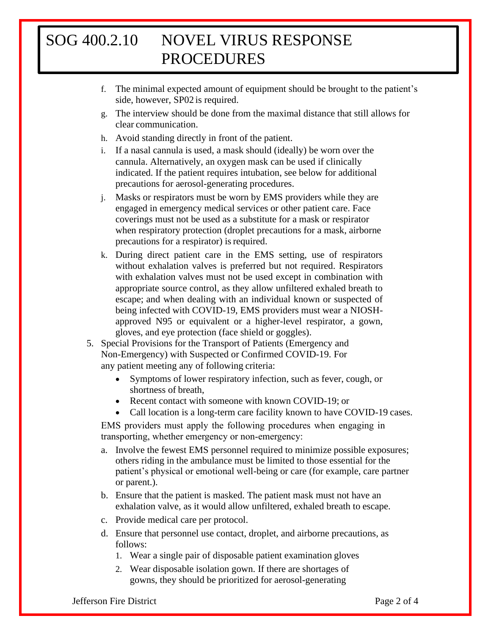# SOG 400.2.10 NOVEL VIRUS RESPONSE PROCEDURES

- f. The minimal expected amount of equipment should be brought to the patient's side, however, SP02 is required.
- g. The interview should be done from the maximal distance that still allows for clear communication.
- h. Avoid standing directly in front of the patient.
- i. If a nasal cannula is used, a mask should (ideally) be worn over the cannula. Alternatively, an oxygen mask can be used if clinically indicated. If the patient requires intubation, see below for additional precautions for aerosol-generating procedures.
- j. Masks or respirators must be worn by EMS providers while they are engaged in emergency medical services or other patient care. Face coverings must not be used as a substitute for a mask or respirator when respiratory protection (droplet precautions for a mask, airborne precautions for a respirator) is required.
- k. During direct patient care in the EMS setting, use of respirators without exhalation valves is preferred but not required. Respirators with exhalation valves must not be used except in combination with appropriate source control, as they allow unfiltered exhaled breath to escape; and when dealing with an individual known or suspected of being infected with COVID-19, EMS providers must wear a NIOSHapproved N95 or equivalent or a higher-level respirator, a gown, gloves, and eye protection (face shield or goggles).
- 5. Special Provisions for the Transport of Patients (Emergency and Non-Emergency) with Suspected or Confirmed COVID-19. For any patient meeting any of following criteria:
	- Symptoms of lower respiratory infection, such as fever, cough, or shortness of breath,
	- Recent contact with someone with known COVID-19; or
	- Call location is a long-term care facility known to have COVID-19 cases.

EMS providers must apply the following procedures when engaging in transporting, whether emergency or non-emergency:

- a. Involve the fewest EMS personnel required to minimize possible exposures; others riding in the ambulance must be limited to those essential for the patient's physical or emotional well-being or care (for example, care partner or parent.).
- b. Ensure that the patient is masked. The patient mask must not have an exhalation valve, as it would allow unfiltered, exhaled breath to escape.
- c. Provide medical care per protocol.
- d. Ensure that personnel use contact, droplet, and airborne precautions, as follows:
	- 1. Wear a single pair of disposable patient examination gloves
	- 2. Wear disposable isolation gown. If there are shortages of gowns, they should be prioritized for aerosol-generating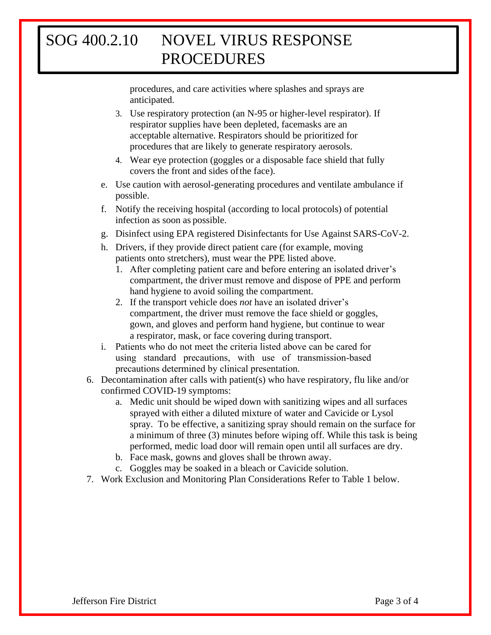# SOG 400.2.10 NOVEL VIRUS RESPONSE PROCEDURES

procedures, and care activities where splashes and sprays are anticipated.

- 3. Use respiratory protection (an N-95 or higher-level respirator). If respirator supplies have been depleted, facemasks are an acceptable alternative. Respirators should be prioritized for procedures that are likely to generate respiratory aerosols.
- 4. Wear eye protection (goggles or a disposable face shield that fully covers the front and sides ofthe face).
- e. Use caution with aerosol-generating procedures and ventilate ambulance if possible.
- f. Notify the receiving hospital (according to local protocols) of potential infection as soon as possible.
- g. Disinfect using EPA registered Disinfectants for Use Against SARS-CoV-2.
- h. Drivers, if they provide direct patient care (for example, moving patients onto stretchers), must wear the PPE listed above.
	- 1. After completing patient care and before entering an isolated driver's compartment, the driver must remove and dispose of PPE and perform hand hygiene to avoid soiling the compartment.
	- 2. If the transport vehicle does *not* have an isolated driver's compartment, the driver must remove the face shield or goggles, gown, and gloves and perform hand hygiene, but continue to wear a respirator, mask, or face covering during transport.
- i. Patients who do not meet the criteria listed above can be cared for using standard precautions, with use of transmission-based precautions determined by clinical presentation.
- 6. Decontamination after calls with patient(s) who have respiratory, flu like and/or confirmed COVID-19 symptoms:
	- a. Medic unit should be wiped down with sanitizing wipes and all surfaces sprayed with either a diluted mixture of water and Cavicide or Lysol spray. To be effective, a sanitizing spray should remain on the surface for a minimum of three (3) minutes before wiping off. While this task is being performed, medic load door will remain open until all surfaces are dry.
	- b. Face mask, gowns and gloves shall be thrown away.
	- c. Goggles may be soaked in a bleach or Cavicide solution.
- 7. Work Exclusion and Monitoring Plan Considerations Refer to Table 1 below.